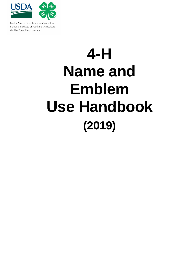

United States Department of Agriculture National Institute of Food and Agriculture 4-H National Headquarters

# **4-H Name and Emblem Use Handbook (2019)**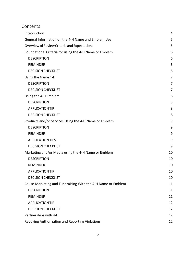# Contents

| Introduction                                                | 4  |  |  |
|-------------------------------------------------------------|----|--|--|
| General Information on the 4-H Name and Emblem Use          |    |  |  |
| Overview of Review Criteria and Expectations                | 5  |  |  |
| Foundational Criteria for using the 4-H Name or Emblem      | 6  |  |  |
| <b>DESCRIPTION</b>                                          | 6  |  |  |
| <b>REMINDER</b>                                             | 6  |  |  |
| <b>DECISION CHECKLIST</b>                                   | 6  |  |  |
| Using the Name 4-H                                          | 7  |  |  |
| <b>DESCRIPTION</b>                                          | 7  |  |  |
| <b>DECISION CHECKLIST</b>                                   | 7  |  |  |
| Using the 4-H Emblem                                        | 8  |  |  |
| <b>DESCRIPTION</b>                                          | 8  |  |  |
| <b>APPLICATION TIP</b>                                      | 8  |  |  |
| <b>DECISION CHECKLIST</b>                                   | 8  |  |  |
| Products and/or Services Using the 4-H Name or Emblem       | 9  |  |  |
| <b>DESCRIPTION</b>                                          | 9  |  |  |
| <b>REMINDER</b>                                             | 9  |  |  |
| <b>APPLICATION TIPS</b>                                     | 9  |  |  |
| <b>DECISION CHECKLIST</b>                                   | 9  |  |  |
| Marketing and/or Media using the 4-H Name or Emblem         | 10 |  |  |
| <b>DESCRIPTION</b>                                          | 10 |  |  |
| <b>REMINDER</b>                                             | 10 |  |  |
| <b>APPLICATION TIP</b>                                      | 10 |  |  |
| <b>DECISION CHECKLIST</b>                                   | 10 |  |  |
| Cause-Marketing and Fundraising With the 4-H Name or Emblem | 11 |  |  |
| <b>DESCRIPTION</b>                                          | 11 |  |  |
| <b>REMINDER</b>                                             | 11 |  |  |
| <b>APPLICATION TIP</b>                                      | 12 |  |  |
| <b>DECISION CHECKLIST</b>                                   | 12 |  |  |
| Partnerships with 4-H                                       | 12 |  |  |
| Revoking Authorization and Reporting Violations             |    |  |  |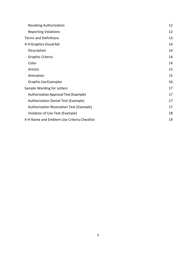| <b>Revoking Authorization</b>              | 12 |
|--------------------------------------------|----|
| <b>Reporting Violations</b>                | 12 |
| <b>Terms and Definitions</b>               | 13 |
| 4-H Graphics Visual Aid                    | 14 |
| Description                                | 14 |
| Graphic Criteria                           | 14 |
| Color                                      | 14 |
| Artistic                                   | 15 |
| Animation                                  | 15 |
| <b>Graphic Use Examples</b>                | 16 |
| Sample Wording for Letters                 | 17 |
| Authorization Approval Text (Example)      | 17 |
| Authorization Denial Text (Example)        | 17 |
| Authorization Revocation Text (Example)    | 17 |
| Violation of Use Text (Example)            | 18 |
| 4-H Name and Emblem Use Criteria Checklist | 19 |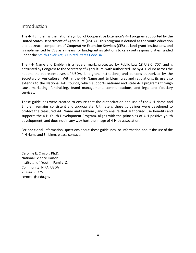## <span id="page-3-0"></span>Introduction

The 4-H Emblem is the national symbol of Cooperative Extension's 4-H program supported by the United States Department of Agriculture (USDA). This program is defined as the youth education and outreach component of Cooperative Extension Services (CES) at land-grant institutions, and is implemented by CES as a means for land-grant institutions to carry out responsibilities funded under the [Smith-Lever Act, 7 United States Code 341.](https://www.govinfo.gov/app/details/USCODE-2010-title7/USCODE-2010-title7-chap13-subchapIV-sec341)

The 4-H Name and Emblem is a federal mark, protected by Public Law 18 U.S.C. 707, and is entrusted by Congress to the Secretary of Agriculture, with authorized use by 4–H clubs across the nation, the representatives of USDA, land-grant institutions, and persons authorized by the Secretary of Agriculture. Within the 4-H Name and Emblem rules and regulations, its use also extends to the National 4-H Council, which supports national and state 4-H programs through cause-marketing, fundraising, brand management, communications, and legal and fiduciary services.

These guidelines were created to ensure that the authorization and use of the 4-H Name and Emblem remains consistent and appropriate. Ultimately, these guidelines were developed to protect the treasured 4-H Name and Emblem , and to ensure that authorized use benefits and supports the 4-H Youth Development Program, aligns with the principles of 4-H positive youth development, and does not in any way hurt the image of 4-H by association.

For additional information, questions about these guidelines, or information about the use of the 4-H Name and Emblem, please contact:

Caroline E. Crocoll, Ph.D. National Science Liaison Institute of Youth, Family & Community, NIFA, USDA 202-445-5375 ccrocoll@usda.gov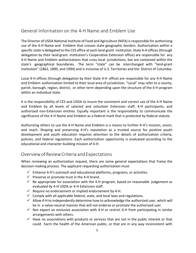## <span id="page-4-0"></span>General Information on the 4-H Name and Emblem Use

The Director of USDA National Institute of Food and Agriculture (NIFA) isresponsible for authorizing use of the 4-H Name and Emblem that crosses state geographic borders. Authorization within a specific state is delegated to the CES office at each land-grant institution. State 4-H offices(through delegation by their land-grant institution's Cooperative Extension office) are responsible for any 4-H Name and Emblem authorizations that cross local jurisdictions, but are contained within the state's geographical boundaries. The term "state" can be interchanged with "land-grant institution" (1862, 1890, and 1994) and is inclusive of U.S. Territories and the District of Columbia.

Local 4-H offices (through delegation by their State 4-H office) are responsible for any 4-H Name and Emblem authorization limited to their local area of jurisdiction. "Local" may refer to a county, parish, borough, region, district, or other term depending upon the structure of the 4-H program within an individual state.

It is the responsibility of CES and USDA to insure the consistent and correct use of the 4-H Name and Emblem by all levels of salaried and volunteer Extension staff, 4-H participants, and authorized non-Extension entities. Equally important is the responsibility to communicate the significance of the 4-H Name and Emblem as a federal mark that is protected by federal statute.

Authorizing others to use the 4-H Name and Emblem is a means to further 4-H's mission, vision, and reach. Shaping and preserving 4-H's reputation as a trusted source for positive youth development and youth education requires attention to the details of authorization criteria, policies, and federal regulations. Each authorization opportunity is evaluated according to the educational and character building mission of 4-H.

## <span id="page-4-1"></span>OverviewofReviewCriteria andExpectations

When reviewing an authorization request, there are some general expectations that frame the decision-making process. The applicant requesting authorization must:

- $\checkmark$  Enhance 4-H's outreach and educational platforms, programs, or activities.
- $\checkmark$  Preserve or promote trust in the 4-H brand.
- $\checkmark$  Be appropriate for association with the 4-H program, based on reasonable judgement as evaluated by 4-H USDA or 4-H Extension staff.
- $\checkmark$  Require no endorsement or implied endorsement by 4-H.
- $\checkmark$  Comply with all applicable federal, state, and local laws and regulations.
- $\checkmark$  Allow 4-H to independently determine how to acknowledge the authorized user, which will be in a value-neutral manner that will not endorse or promote the authorized user.
- $\checkmark$  Not expect an exclusive association with 4-H or restrict 4-H from participating in similar arrangements with others.
- $\checkmark$  Have no associations with products or services that are not in the public interest or that could harm the health of the American public, or that are in any way inconsistent with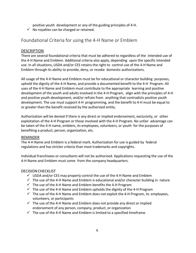positive youth development or any of the guiding principles of 4-H.

 $\checkmark$  No royalties can be charged or retained.

# <span id="page-5-0"></span>Foundational Criteria for using the 4-H Name or Emblem

## <span id="page-5-1"></span>DESCRIPTION

There are several foundational criteria that must be adhered to regardless of the intended use of the 4-H Name and Emblem. Additional criteria also apply, depending upon the specific intended use. In all situations, USDA and/or CES retains the right to control use of the 4-H Name and Emblem through its ability to provide, deny, or revoke domestic authorizations.

All usage of the 4-H Name and Emblem must be for educational or character building purposes, uphold the dignity of the 4-H Name, and provide a documented benefit to the 4-H Program. All uses of the 4-H Name and Emblem must contribute to the appropriate learning and positive development of the youth and adults involved in the 4-H Program, align with the principles of 4-H and positive youth development, and/or refrain from anything that contradicts positive youth development. The use must support 4-H programming, and the benefit to 4-H must be equal to or greater than the benefit received by the authorized entity.

Authorization will be denied if there is any direct or implied endorsement, exclusivity, or other exploitation of the 4-H Program or those involved with the 4-H Program. No unfair advantage can be taken of the 4-H name, emblem, its employees, volunteers, or youth for the purposes of benefiting a product, person, organization, etc.

## <span id="page-5-2"></span>REMINDER

The 4-H Name and Emblem is a federal mark. Authorization for use is guided by federal regulations and has stricter criteria than most trademarks and copyrights.

Individual franchisees or consultants will not be authorized. Applications requesting the use of the 4-H Name and Emblem must come from the company headquarters.

## <span id="page-5-3"></span>DECISIONCHECKLIST

- $\checkmark$  USDA and/or CES may properly control the use of the 4-H Name and Emblem
- $\checkmark$  The use of the 4-H Name and Emblem is educational and/or character building in nature
- $\checkmark$  The use of the 4-H Name and Emblem benefits the 4-H Program
- $\checkmark$  The use of the 4-H Name and Emblem upholds the dignity of the 4-H Program
- $\checkmark$  The use of the 4-H Name and Emblem does not exploit the 4-H Program, its employees, volunteers, or participants
- $\checkmark$  The use of the 4-H Name and Emblem does not provide any direct or implied endorsement of any person, company, product, or organization
- $\checkmark$  The use of the 4-H Name and Emblem is limited to a specified timeframe.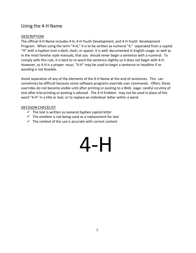## <span id="page-6-0"></span>Using the 4-H Name

## <span id="page-6-1"></span>DESCRIPTION

The official 4-H Name includes 4-H, 4-H Youth Development, and 4-H Youth Development Program. When using the term "4-H," it is to be written as numeral "4," separated from a capital "H" with a hyphen (not a dash, slash, or space). It is well documented in English usage, as well as in the most familiar style manuals, that you should never begin a sentence with a numeral. To comply with this rule, it is best to re-word the sentence slightly so it does not begin with 4-H. However, as 4-H is a proper noun, "4-H" may be used to begin a sentence or headline if rewording is not feasible.

Avoid separation of any of the elements of the 4-H Name at the end of sentences. This can sometimes be difficult because some software programs override user commands. Often, these overrides do not become visible until after printing or posting to a Web page: careful scrutiny of text after trial printing or posting is advised. The 4-H Emblem may not be used in place of the word "4-H" in a title or text, or to replace an individual letter within a word.

## <span id="page-6-2"></span>DECISION CHECKLIST

- The text is written as *numeral hyphen capital letter*
- $\checkmark$  The emblem is not being used as a replacement for text
- $\checkmark$  The context of the use is accurate with correct content

# 4-H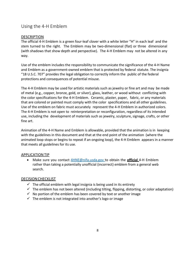## <span id="page-7-0"></span>Using the 4-H Emblem

## <span id="page-7-1"></span>DESCRIPTION

The official 4-H Emblem is a green four-leaf clover with a white letter "H" in each leaf and the stem turned to the right. The Emblem may be two-dimensional (flat) or three dimensional (with shadows that show depth and perspective). The 4-H Emblem may not be altered in any way.

Use of the emblem includes the responsibility to communicate the significance of the 4-H Name and Emblem as a government-owned emblem that is protected by federal statute. The insignia "18 U.S.C. 707" provides the legal obligation to correctly inform the public of the federal protections and consequences of potential misuse.

The 4-H Emblem may be used for artistic materials such as jewelry or fine art and may be made of metal (e.g., copper, bronze, gold, or silver), glass, leather, or wood without conflicting with the color specifications for the 4-H Emblem. Ceramic, plaster, paper, fabric, or any materials that are colored or painted must comply with the color specifications and all other guidelines. Use of the emblem on fabric must accurately represent the 4-H Emblem in authorized colors. The 4-H Emblem is not open to reinterpretation or reconfiguration, regardless of its intended use, including the development of materials such as jewelry, sculpture, signage, crafts, or other fine art.

Animation of the 4-H Name and Emblem is allowable, provided that the animation is in keeping with the guidelines in this document and that at the end point of the animation (where the animated loop stops or begins to repeat if an ongoing loop), the 4-H Emblem appears in a manner that meets all guidelines for its use.

## <span id="page-7-2"></span>APPLICATIONTIP

• Make sure you contact [4HNE@nifa.usda.gov](mailto:4HNE@nifa.usda.gov) to obtain the **official** 4-H Emblem rather than taking a potentially unofficial (incorrect) emblem from a general web search.

## <span id="page-7-3"></span>DECISIONCHECKLIST

- $\checkmark$  The official emblem with legal insignia is being used in its entirety
- $\checkmark$  The emblem has not been altered (including tilting, flipping, distorting, or color adaptation)
- $\checkmark$  No portion of the emblem has been covered by text or another image
- $\checkmark$  The emblem is not integrated into another's logo or image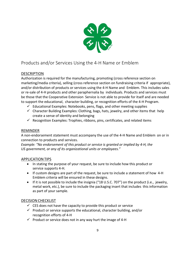

# <span id="page-8-0"></span>Products and/or Services Using the 4-H Name or Emblem

## <span id="page-8-1"></span>DESCRIPTION

Authorization is required for the manufacturing, promoting (cross reference section on marketing/media criteria), selling (cross reference section on fundraising criteria if appropriate), and/or distribution of products or services using the 4-H Name and Emblem. This includes sales or re-sale of 4-H products and other paraphernalia by individuals. Products and services must be those that the Cooperative Extension Service is not able to provide for itself and are needed to support the educational, character building, or recognition efforts of the 4-H Program.

- $\checkmark$  Educational Examples: Notebooks, pens, flags, and other meeting supplies
- $\checkmark$  Character Building Examples: Clothing, bags, hats, jewelry, and other items that help create a sense of identity and belonging
- $\checkmark$  Recognition Examples: Trophies, ribbons, pins, certificates, and related items

## <span id="page-8-2"></span>REMINDER

A non-endorsement statement must accompany the use of the 4-H Name and Emblem on or in connection to products and services.

*Example: "No endorsement of this product or service is granted or implied by 4-H, the US government, or any of its organizational units or employees."*

## <span id="page-8-3"></span>APPLICATIONTIPS

- In stating the purpose of your request, be sure to include how this product or service supports 4-H.
- If custom designs are part of the request, be sure to include a statement of how 4-H Emblem criteria will be ensured in these designs.
- If it is not possible to include the insignia ("18 U.S.C. 707") on the product (i.e., jewelry, metal work, etc.), be sure to include the packaging insert that includes this information as part of your sample.

## <span id="page-8-4"></span>DECISION CHECKLIST

- $\checkmark$  CES does not have the capacity to provide this product or service
- $\checkmark$  Product or service supports the educational, character building, and/or recognition efforts of 4-H
- $\checkmark$  Product or service does not in any way hurt the image of 4-H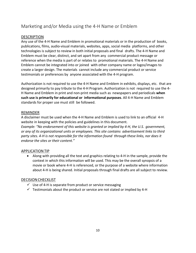# <span id="page-9-0"></span>Marketing and/or Media using the 4-H Name or Emblem

## <span id="page-9-1"></span>DESCRIPTION

Any use of the 4-H Name and Emblem in promotional materials or in the production of books, publications, films, audio-visual materials, websites, apps, social media platforms, and other technologies is subject to review in both initial proposals and final drafts. The 4-H Name and Emblem must be clear, distinct, and set apart from any commercial product message or reference when the media is part of or relates to promotional materials. The 4-H Name and Emblem cannot be integrated into or joined with other company name or logos/images to create a larger design. The materials cannot include any commercial product or service testimonials or preferences by anyone associated with the 4-H program.

Authorization is not required to use the 4-H Name and Emblem in exhibits, displays, etc. that are designed primarily to pay tribute to the 4-H Program. Authorization is not required to use the 4- H Name and Emblem in print and non-print media such as newspapers and periodicals **when such use is primarily for educational or informational purposes**. All 4-H Name and Emblem standards for proper use must still be followed.

#### <span id="page-9-2"></span>REMINDER

A disclaimer must be used when the 4-H Name and Emblem is used to link to an official 4-H website in keeping with the policies and guidelines in this document. *Example: "No endorsement of this website is granted or implied by 4-H, the U.S. government, or any of its organizational units or employees. This site contains advertisement links to third party sites. 4-H is not responsible for the information found through these links, nor does it endorse the sites or their content."*

## <span id="page-9-3"></span>APPLICATIONTIP

• Along with providing all the text and graphics relating to 4-H in the sample, provide the context in which this information will be used. This may be the overall synopsis of a movie or book where 4-H is referenced, or the purpose of a website where information about 4-H is being shared. Initial proposals through final drafts are all subject to review.

## <span id="page-9-4"></span>DECISION CHECKLIST

- $\checkmark$  Use of 4-H is separate from product or service messaging
- $\checkmark$  Testimonials about the product or service are not stated or implied by 4-H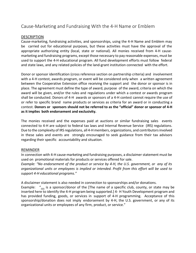# <span id="page-10-0"></span>Cause-Marketing and Fundraising With the 4-H Name or Emblem

## <span id="page-10-1"></span>DESCRIPTION

Cause-marketing, fundraising activities, and sponsorships, using the 4-H Name and Emblem may be carried out for educational purposes, but these activities must have the approval of the appropriate authorizing entity (local, state or national). All monies received from 4-H causemarketing and fundraising programs, except those necessary to pay reasonable expenses, must be used to support the 4-H educational program. All fund development efforts must follow federal and state laws, and any related policies of the land-grant institution connected with the effort.

Donor or sponsor identification (cross reference section on partnership criteria) and involvement with a 4-H contest, awards program, or event will be considered only when a written agreement between the Cooperative Extension office receiving the support and the donor or sponsor is in place. The agreement must define the type of award, purpose of the award, criteria on which the award will be given, and/or the rules and regulations under which a contest or awards program shall be conducted. Donors of 4-H awards or sponsors of a 4-H contest cannot require the use of or refer to specific brand name products or services as criteria for an award or in conducting a contest. **Donors or sponsors should not be referred to as the "official" donor or sponsor of 4-H as it implies both endorsement and exclusivity.**

The monies received and the expenses paid at auctions or similar fundraising sales events connected to 4-H are subject to federal tax laws and Internal Revenue Service (IRS) regulations. Due to the complexity of IRS regulations, all 4-H members, organizations, and contributorsinvolved in these sales and events are strongly encouraged to seek guidance from their tax advisors regarding their specific accountability and situation.

## <span id="page-10-2"></span>REMINDER

In connection with 4-H cause-marketing and fundraising purposes, a disclaimer statement must be used on promotional materials for products or services offered for sale.

*Example: "No endorsement of the product or service by 4-H, the U.S. government, or any of its organizational units or employees is implied or intended. Profit from this effort will be used to support 4-H educational programs."*

A disclaimer statement is also needed in connection to sponsorships and/or donations.

Example: "... is a sponsor/donor of the [The name of a specific club, county, or state may be inserted here to identify the 4-H program being supported.] 4- H Youth Development program and has provided funding, goods, or services in support of 4-H programming. Acceptance of this sponsorship/donation does not imply endorsement by 4-H, the U.S. government, or any of its organizational units or employees of any firm, product, or service."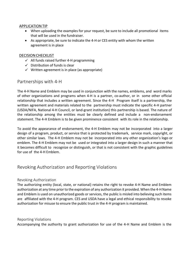#### <span id="page-11-0"></span>APPLICATIONTIP

- When uploading the examples for your request, be sure to include all promotional items that will be used in the fundraiser.
- As appropriate, be sure to indicate the 4-H or CES entity with whom the written agreement is in place

## <span id="page-11-1"></span>DECISION CHECKLIST

- $\checkmark$  All funds raised further 4-H programming
- $\checkmark$  Distribution of funds is clear
- $\checkmark$  Written agreement is in place (as appropriate)

## <span id="page-11-2"></span>Partnerships with 4-H

The 4-H Name and Emblem may be used in conjunction with the names, emblems, and word marks of other organizations and programs when 4-H is a partner, co-author, or in some other official relationship that includes a written agreement. Since the 4-H Program itself is a partnership, the written agreement and materials related to the partnership must indicate the specific 4-H partner (USDA/NIFA, National 4-H Council, or land-grant institution) this partnership is based. The nature of the relationship among the entities must be clearly defined and include a non-endorsement statement. The 4-H Emblem is to be given prominence consistent with its role in the relationship.

To avoid the appearance of endorsement, the 4-H Emblem may not be incorporated into a larger design of a program, product, or service that is protected by trademark, service mark, copyright, or other similar laws. The 4-H Emblem may not be incorporated into any other organization's logo or emblem. The 4-H Emblem may not be used or integrated into a larger design in such a manner that it becomes difficult to recognize or distinguish, or that is not consistent with the graphic guidelines for use of the 4-H Emblem.

## <span id="page-11-3"></span>Revoking Authorization and Reporting Violations

## <span id="page-11-4"></span>Revoking Authorization

The authorizing entity (local, state, or national) retains the right to revoke 4-H Name and Emblem authorization at any time prior to the expiration of any authorization it provided. When the 4-H Name and Emblem is used on unauthorized goods or services, the public is misled into believing such items are affiliated with the 4-H program. CES and USDA have a legal and ethical responsibility to revoke authorization for misuse to ensure the public trust in the 4-H program is maintained.

#### <span id="page-11-5"></span>Reporting Violations

Accompanying the authority to grant authorization for use of the 4-H Name and Emblem is the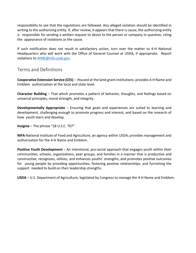responsibility to see that the regulations are followed. Any alleged violation should be identified in writing to the authorizing entity. If, after review, it appears that there is cause, the authorizing entity is responsible for sending a written request to desist to the person or company in question, citing the appearance of violations as the cause.

If such notification does not result in satisfactory action, turn over the matter to 4-H National Headquarters who will work with the Office of General Counsel at USDA, if appropriate. Report violations to [4HNE@nifa.usda.gov.](mailto:4HNE@nifa.usda.gov)

## <span id="page-12-0"></span>Terms and Definitions

**Cooperative Extension Service (CES)** -- Housed at the land-grant institutions; provides 4-H Name and Emblem authorization at the local and state level.

**Character Building** – That which promotes a pattern of behavior, thoughts, and feelings based on universal principles, moral strength, and integrity.

**Developmentally Appropriate** – Ensuring that goals and experiences are suited to learning and development, challenging enough to promote progress and interest, and based on the research of how youth learn and develop.

**Insignia** – The phrase "18 U.S.C. 707".

**NIFA**-National Institute of Food and Agriculture, an agency within USDA; provides management and authorization for the 4-H Name and Emblem.

**Positive Youth Development** – An intentional, pro-social approach that engages youth within their communities, schools, organizations, peer groups, and families in a manner that is productive and constructive; recognizes, utilizes, and enhances youths' strengths; and promotes positive outcomes for young people by providing opportunities, fostering positive relationships, and furnishing the support needed to build on their leadership strengths.

**USDA** – U.S. Department of Agriculture; legislated by Congress to manage the 4-H Name and Emblem.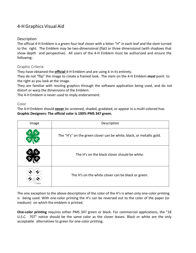# <span id="page-13-0"></span>4-H Graphics Visual Aid

## <span id="page-13-1"></span>Description

The official 4-H Emblem is a green four-leaf clover with a letter "H" in each leaf and the stem turned to the right. The Emblem may be two-dimensional (flat) or three dimensional (with shadows that show depth and perspective). All users of the 4-H Emblem must be authorized and ensure the following:

## <span id="page-13-2"></span>Graphic Criteria

They have obtained the **official** 4-H Emblem and are using it in its entirety.

They do not "flip" the image to create a framed look. The stem on the 4-H Emblem *must* point to the right as you look at the image.

They are familiar with resizing graphics through the software application being used, and do not distort or warp the dimensions of the Emblem.

The 4-H Emblem is never used to imply endorsement.

#### <span id="page-13-3"></span>Color

The 4-H Emblem should **never** be screened, shaded, gradated, or appear in a multi-colored hue. **Graphic Designers: The official color is 100% PMS 347 green.**

| Image | Description                                                          |  |  |  |
|-------|----------------------------------------------------------------------|--|--|--|
|       | The "H's" on the green clover can be white, black, or metallic gold. |  |  |  |
|       | The H's on the black clover should be white.                         |  |  |  |
|       | The H's on the white clover can be black or green.                   |  |  |  |

The one exception to the above descriptions of the color of the H's is when only one-color printing is being used. With one-color printing the H's can be reversed out to the color of the paper (or medium) on which the emblem is printed.

**One-color printing** requires either PMS 347 green or black. For commercial applications, the "18 U.S.C. 707" notice should be the same color as the clover leaves. Black or white are the only acceptable alternatives to green for one-color printing.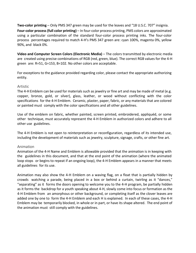**Two-color printing** – Only PMS 347 green may be used for the leaves and "18 U.S.C. 707" insignia. **Four-color process (full color printing)** – In four-color process printing, PMS colors are approximated using a particular combination of the standard four-color process printing inks. The four-color process percentages required to match 4-H's PMS 347 green are: cyan 100%, magenta 0%, yellow 90%, and black 0%.

**Video and Computer Screen Colors (Electronic Media)** – The colors transmitted by electronic media are created using precise combinations of RGB (red, green, blue). The correct RGB values for the 4-H green are: R=51, G=153, B=102. No other colors are acceptable.

For exceptions to the guidance provided regarding color, please contact the appropriate authorizing entity.

#### <span id="page-14-0"></span>Artistic

The 4-H Emblem can be used for materials such as jewelry or fine art and may be made of metal (e.g. copper, bronze, gold, or silver), glass, leather, or wood without conflicting with the color specifications for the 4-H Emblem. Ceramic, plaster, paper, fabric, or any materials that are colored or painted must comply with the color specifications and all other guidelines.

Use of the emblem on fabric, whether painted, screen printed, embroidered, appliquéd, or some other technique, must accurately represent the 4-H Emblem in authorized colors and adhere to all other use guidelines.

The 4-H Emblem is not open to reinterpretation or reconfiguration, regardless of its intended use, including the development of materials such as jewelry, sculpture, signage, crafts, or other fine art.

#### <span id="page-14-1"></span>Animation

Animation of the 4-H Name and Emblem is allowable provided that the animation is in keeping with the guidelines in this document, and that at the end point of the animation (where the animated loop stops or begins to repeat if an ongoing loop), the 4-H Emblem appears in a manner that meets all guidelines for its use.

Animation may also show the 4-H Emblem on a waving flag, on a float that is partially hidden by crowds watching a parade, being placed in a box or behind a curtain, twirling as it "dances," "separating" as it forms the doors opening to welcome you to the 4-H program, be partially hidden as it forms the backdrop for a youth speaking about 4-H, slowly come into focus or formation as the 4-H Emblem from an amorphous or other background, or completing itself as the clover leaves are added one by one to form the 4-H Emblem and each H is explained. In each of these cases, the 4-H Emblem may be temporarily blocked, in whole or in part, or have its shape altered. The end point of the animation must still comply with the guidelines.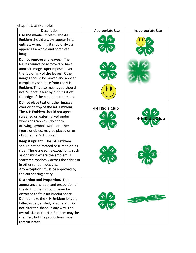<span id="page-15-0"></span>Graphic Use Examples

| Description                             | Appropriate Use | Inappropriate Use |
|-----------------------------------------|-----------------|-------------------|
| Use the whole Emblem. The 4-H           |                 |                   |
| Emblem should always appear in its      |                 |                   |
| entirety-meaning it should always       |                 |                   |
| appear as a whole and complete          |                 |                   |
| image.                                  |                 |                   |
| Do not remove any leaves. The           |                 |                   |
| leaves cannot be removed or have        |                 |                   |
| another image superimposed over         |                 |                   |
| the top of any of the leaves. Other     |                 |                   |
| images should be moved and appear       |                 |                   |
| completely separate from the 4-H        |                 |                   |
| Emblem. This also means you should      |                 |                   |
| not "cut off" a leaf by running it off  |                 |                   |
| the edge of the paper in print media    |                 |                   |
| Do not place text or other images       |                 |                   |
| over or on top of the 4-H Emblem.       | 4-H Kid's Club  |                   |
| The 4-H Emblem should not appear        |                 |                   |
| screened or watermarked under           |                 |                   |
| words or graphics. No photo,            |                 |                   |
| drawing, symbol, word, or other         |                 |                   |
| figure or object may be placed on or    |                 |                   |
| obscure the 4-H Emblem.                 |                 |                   |
| Keep it upright. The 4-H Emblem         |                 |                   |
| should not be rotated or turned on its  |                 |                   |
| side. There are some exceptions, such   |                 |                   |
| as on fabric where the emblem is        |                 |                   |
| scattered randomly across the fabric or |                 |                   |
| in other random designs.                |                 |                   |
| Any exceptions must be approved by      |                 |                   |
| the authorizing entity.                 |                 |                   |
| Distortion and Proportion. The          |                 |                   |
| appearance, shape, and proportion of    |                 |                   |
| the 4-H Emblem should never be          |                 |                   |
| distorted to fit in an imprint space.   |                 |                   |
| Do not make the 4-H Emblem longer,      |                 |                   |
| taller, wider, angled, or squarer. Do   |                 |                   |
| not alter the shape in any way. The     |                 |                   |
| overall size of the 4-H Emblem may be   |                 |                   |
| changed, but the proportions must       |                 |                   |
| remain intact.                          |                 |                   |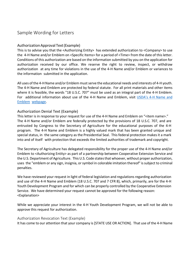# <span id="page-16-0"></span>Sample Wording for Letters

## <span id="page-16-1"></span>AuthorizationApproval Text(Example)

This is to advise you that the <Authorizing Entity> has extended authorization to <Company> to use the 4-H Name and/or Emblem on <Specific Items> for a period of <Time> from the date of thisletter. Conditions of this authorization are based on the information submitted by you on the application for authorization received by our office. We reserve the right to review, inspect, or withdraw authorization at any time for violations in the use of the 4-H Name and/or Emblem or variances to the information submitted in the application.

All uses of the 4-H Name and/or Emblem must serve the educational needs and interests of 4-H youth. The 4-H Name and Emblem are protected by federal statute. For all print materials and other items where it is feasible, the words "18 U.S.C. 707" must be used as an integral part of the 4-H Emblem. For additional information about use of the 4-H Name and Emblem, visit [USDA's 4-H Name](https://nifa.usda.gov/4-h-name-and-emblem) and [Emblem](https://nifa.usda.gov/4-h-name-and-emblem) [webpage.](https://nifa.usda.gov/4-h-name-and-emblem)

## <span id="page-16-2"></span>Authorization Denial Text (Example)

This letter is in response to your request for use of the 4-H Name and Emblem on "<item name>." The 4-H Name and/or Emblem are federally protected by the provisions of 18 U.S.C. 707, and are entrusted by Congress to the Secretary of Agriculture for the educational purposes of the 4-H program. The 4-H Name and Emblem is a highly valued mark that has been granted unique and special status, in the same category as the Presidential Seal. This federal protection makes it a mark into and of itself with protection that exceeds the limited authorities of trademark and copyright.

The Secretary of Agriculture has delegated responsibility for the proper use of the 4-H Name and/or Emblem to <Authorizing Entity> as part of a partnership between Cooperative Extension Service and the U.S. Department of Agriculture. ThisU.S. Code statesthat whoever, without proper authorization, uses the "emblem or any sign, insignia, or symbol in colorable imitation thereof" issubject to criminal penalties.

We have reviewed your request in light of federal legislation and regulations regarding authorization and use of the 4-H Name and Emblem (18 U.S.C. 707 and 7 CFR 8), which, primarily, are for the 4-H Youth Development Program and for which can be properly controlled by the Cooperative Extension Service. We have determined your request cannot be approved for the following reason: <Explanation>

While we appreciate your interest in the 4-H Youth Development Program, we will not be able to approve this request for authorization.

## <span id="page-16-3"></span>Authorization Revocation Text (Example)

It has come to our attention that your company is [STATE USE OR ACTION]. That use of the 4-H Name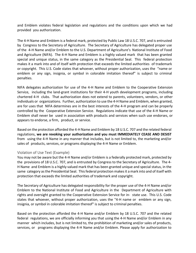and Emblem violates federal legislation and regulations and the conditions upon which we had provided you authorization.

The 4-H Name and Emblem is a federal mark, protected by Public Law 18 U.S.C. 707, and is entrusted by Congress to the Secretary of Agriculture. The Secretary of Agriculture has delegated proper use of the 4-H Name and/or Emblem to the U.S. Department of Agriculture's National Institute of Food and Agriculture (NIFA). The 4-H Name and Emblem is a highly valued mark that has been granted special and unique status, in the same category as the Presidential Seal. This federal protection makes it a mark into and of itself with protection that exceeds the limited authorities of trademark or copyright. This U.S. Code states that whoever, without proper authorization, uses the "name or emblem or any sign, insignia, or symbol in colorable imitation thereof" is subject to criminal penalties.

NIFA delegates authorization for use of the 4-H Name and Emblem to the Cooperative Extension Service, including the land-grant institutions for their 4-H youth development programs, including chartered 4-H clubs. That authorization does not extend to parents, volunteers, vendors, or other individuals or organizations. Further, authorization to use the 4-H Name and Emblem, when granted, are for uses that NIFA determines are in the best interests of the 4-H program and can be properly controlled by the Cooperative Extension Service. Regulations indicate that use of the 4-H Name or Emblem shall never be used in association with products and services when such use endorses, or appears to endorse, a firm, product, or service.

Based on the protection afforded the 4-H Name and Emblem by 18 U.S.C. 707 and the related federal regulations, **we are revoking your authorization and you must IMMEDIATELY CEASE AND DESIST**  from using the 4-H Name in any manner that includes, but is not limited to, the marketing and/or sales of products, services, or programs displaying the 4-H Name or Emblem.

## <span id="page-17-0"></span>Violation of Use Text (Example)

You may not be aware but the 4-H Name and/or Emblem is a federally protected mark, protected by the provisions of 18 U.S.C. 707, and is entrusted by Congress to the Secretary of Agriculture. The 4- H Name and Emblem is a highly valued mark that has been granted unique and special status, in the same category as the Presidential Seal. This federal protection makes it a mark into and of itself with protection that exceeds the limited authorities of trademark and copyright.

The Secretary of Agriculture has delegated responsibility for the proper use of the 4-H Name and/or Emblem to the National Institute of Food and Agriculture in the Department of Agriculture with rights and oversight granted to the Cooperative Extension Service for in- state use. This U.S. Code states that whoever, without proper authorization, uses the "4-H name or emblem or any sign, insignia, or symbol in colorable imitation thereof" is subject to criminal penalties.

Based on the protection afforded the 4-H Name and/or Emblem by 18 U.S.C. 707 and the related federal regulations, we are officially informing you that using the 4-H Name and/or Emblem in any manner which includes, but is not limited to, the prohibition of marketing and/or sales of products, services, or programs displaying the 4-H Name and/or Emblem. Please apply for authorization to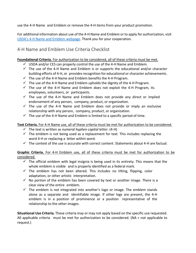use the 4-H Name and Emblem or remove the 4-H items from your product promotion.

For additional information about use of the 4-H Name and Emblem orto apply for authorization, visit USDA's 4-H Name [and Emblem webpage.](https://nifa.usda.gov/4-h-name-and-emblem) Thank you for your cooperation.

# <span id="page-18-0"></span>4-H Name and Emblem Use Criteria Checklist

## **Foundational Criteria.** For authorization to be considered, all of these criteria must be met.

- $\checkmark$  USDA and/or CES can properly control the use of the 4-H Name and Emblem.
- $\checkmark$  The use of the 4-H Name and Emblem is or supports the educational and/or character building efforts of 4-H, or provides recognition for educational or character achievements.
- $\checkmark$  The use of the 4-H Name and Emblem benefits the 4-H Program.
- $\checkmark$  The use of the 4-H Name and Emblem upholds the dignity of the 4-H Program.
- $\checkmark$  The use of the 4-H Name and Emblem does not exploit the 4-H Program, its employees, volunteers, or participants.
- $\checkmark$  The use of the 4-H Name and Emblem does not provide any direct or implied endorsement of any person, company, product, or organization.
- $\checkmark$  The use of the 4-H Name and Emblem does not provide or imply an exclusive relationship with any person, company, product, or organization.
- $\checkmark$  The use of the 4-H Name and Emblem is limited to a specific period of time.

## **Text Criteria.** For 4-H Name use, all of these criteria must be met for authorization to be considered.

- $\checkmark$  The text is written as *numeral hyphen capital letter.* (4-H)
- $\checkmark$  The emblem is not being used as a replacement for text. This includes replacing the word 4-H or replacing a letter within word.
- $\checkmark$  The context of the use is accurate with correct content. Statements about 4-H are factual.

**Graphic Criteria.** For 4-H Emblem use, all of these criteria must be met for authorization to be considered.

- $\checkmark$  The official emblem with legal insignia is being used in its entirety. This means that the whole emblem is visible and is properly identified as a federal mark.
- $\checkmark$  The emblem has not been altered. This includes no tilting, flipping, color adaptation, or other artistic interpretation.
- $\checkmark$  No portion of the emblem has been covered by text or another image. There is a clear view of the entire emblem.
- $\checkmark$  The emblem is not integrated into another's logo or image. The emblem stands alone as a separate and identifiable image. If other logs are present, the 4-H emblem is in a position of prominence or a position representative of the relationship to the other images.

**Situational Use Criteria.** These criteria may or may not apply based on the specific use requested. All applicable criteria must be met for authorization to be considered. (NA = not applicable to request.)